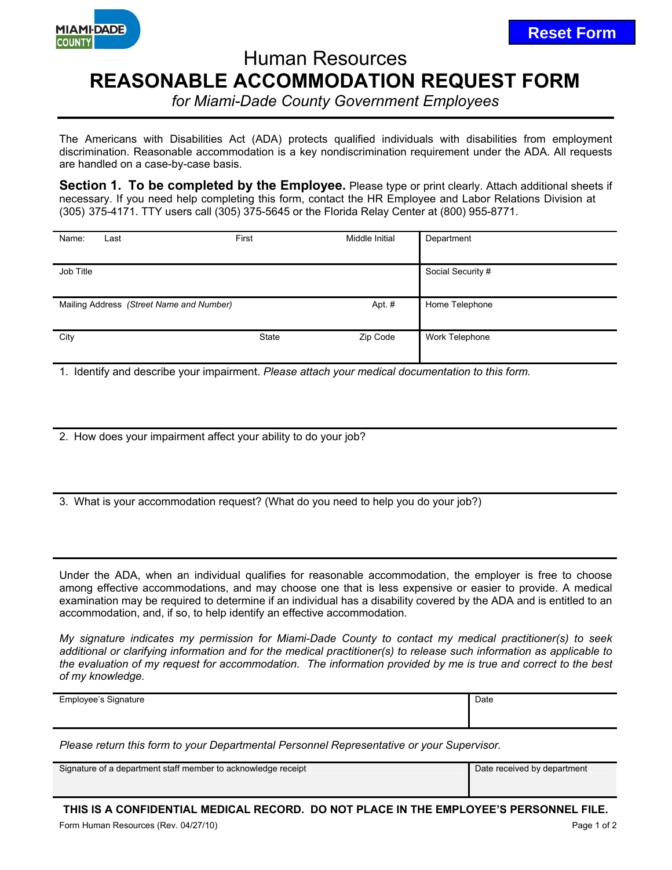

## Human Resources **REASONABLE ACCOMMODATION REQUEST FORM**

*for Miami-Dade County Government Employees*

The Americans with Disabilities Act (ADA) protects qualified individuals with disabilities from employment discrimination. Reasonable accommodation is a key nondiscrimination requirement under the ADA. All requests are handled on a case-by-case basis.

**Section 1. To be completed by the Employee.** Please type or print clearly. Attach additional sheets if necessary. If you need help completing this form, contact the HR Employee and Labor Relations Division at (305) 375-4171. TTY users call (305) 375-5645 or the Florida Relay Center at (800) 955-8771.

| Name:     | Last                                     | First        | Middle Initial | Department        |
|-----------|------------------------------------------|--------------|----------------|-------------------|
|           |                                          |              |                |                   |
| Job Title |                                          |              |                | Social Security # |
|           |                                          |              |                |                   |
|           | Mailing Address (Street Name and Number) |              | Apt. #         | Home Telephone    |
|           |                                          |              |                |                   |
| City      |                                          | <b>State</b> | Zip Code       | Work Telephone    |
|           |                                          |              |                |                   |

1. Identify and describe your impairment. *Please attach your medical documentation to this form.*

2. How does your impairment affect your ability to do your job?

3. What is your accommodation request? (What do you need to help you do your job?)

Under the ADA, when an individual qualifies for reasonable accommodation, the employer is free to choose among effective accommodations, and may choose one that is less expensive or easier to provide. A medical examination may be required to determine if an individual has a disability covered by the ADA and is entitled to an accommodation, and, if so, to help identify an effective accommodation.

*My signature indicates my permission for Miami-Dade County to contact my medical practitioner(s) to seek additional or clarifying information and for the medical practitioner(s) to release such information as applicable to the evaluation of my request for accommodation. The information provided by me is true and correct to the best of my knowledge.* 

| Employee's Signature | Date<br>. |
|----------------------|-----------|
|                      |           |
|                      |           |

*Please return this form to your Departmental Personnel Representative or your Supervisor.*

Signature of a department staff member to acknowledge receipt Date received by department

**THIS IS A CONFIDENTIAL MEDICAL RECORD. DO NOT PLACE IN THE EMPLOYEE'S PERSONNEL FILE.**